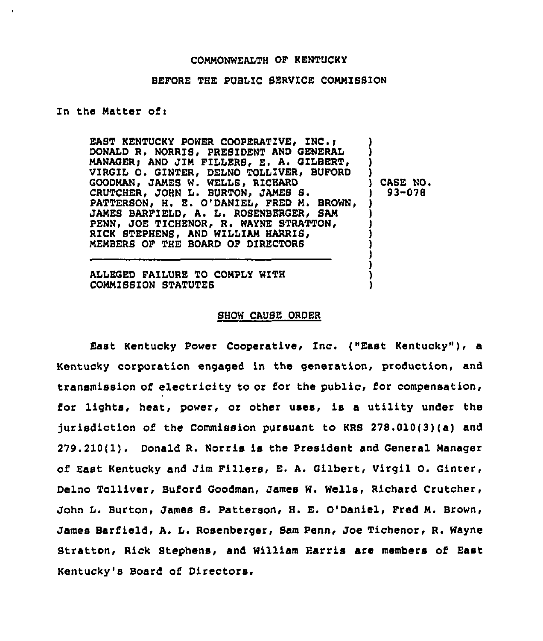## CONNQNWEALTH OF KENTUCKY

## BEFORE THE PUBLIC SERVICE COMMISSION

## In the Matter of:

EAST KENTUCKY POWER COOPERATIVE, INC.; DONALD R. NORRIS, PRESIDENT AND GENERAL MANAGER; AND JIM FILLERS, E. A. GILBERT, VIRGIL O. GINTER, DELNO TOLLIVER, BUFORD GOODNAN, JANES W. WELLS, RICHARD CRUTCHER, JOHN L. BURTON, JAMES S. PATTERSON, H. E. O'DANIEL, FRED M. BROWN, JAMES BARFIELD, A. L. ROSENBERGER, SAM PENN, JOE TICHENOR, R. WAYNE STRATTON, RICK STEPHENS, AND WILLIAM HARRIS, NENBERS OF THE BOARD OF DIRECTORS ) ) ) ) CASE NO. ) 93-078 ) ) ) ) )

ALLEGED FAILURE TO CONPLY WITH COMMISSION STATUTES

## SHOW CAUSE ORDER

) ) ) )

East Kentucky Power Cooperative, Inc. ("East Kentucky"), a Kentucky corporation engaged in the generation, production, and transmission of electricity to or for the public, for compensation, for lights, heat, power, or other uses, is a utility under the jurisdiction of the Commission pursuant to KRS 278.010(3)(a) and 279.210(1). Donald R. Norris is the President and General Nanager of East Kentucky and Jim Fillers, E. A. Gilbert, Virgil O. Ginter, Delno Tolliver, Buford Goodman, James W. Wells, Richard Crutcher, John L. Burton, James 8. Patterson, H. E. O'Daniel, Fred N. Brown, James Barfield, A. L. Rosenberger, Sam Penn, Joe Tichenor, R. Wayne Stratton, Rick Stephens, and William Harris are members of East Kentucky's Board of Directors.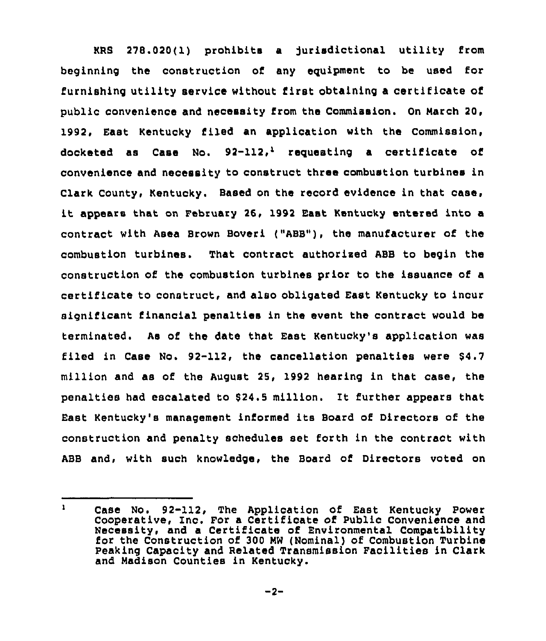KRB 278.020( 1) prohibits a Jurisdictional utility from beginning the construction of any eguipment to be used for furnishing utility service without first obtaining a certificate of public convenience and necessity from the Commission. On March 20, 1992, East Kentucky filed an application with the Commission, docketed as Case No.  $92-112$ , requesting a certificate of convenience and necessity to construct three combustion turbines in Clark County, Kentucky. Based on the record evidence in that case, it appears that on February 26, 1992 East Kentucky entered into <sup>a</sup> contract with Asea Brown Boveri ("ABB"), the manufacturer of the combustion turbines. That contract authorised ABB to begin the construction of the combustion turbines prior to the issuance of a certilicate to construct, and also obligated East Kentucky to incur significant financial penalties in the event the contract would be terminated. As of the date that East Kentucky's application was filed in Case No. 92-112, the cancellation penalties were 64.7 million and as of the August 25, 1992 hearing in that case, the penalties had escalated to 924.5 million. It further appears that East Kentucky's management informed its Board of Directors of the construction and penalty schedules set forth in the contract with ABB and, with such knowledge, the Board of Directors voted on

 $\mathbf{1}$ Case No. 92-112, The Application of East Kentucky Power Cooperative, Inc. For a Certificate of Public Convenience and Necessity, and a Certificate of Environmental Compatibility for the Construction of 300 MW (Nominal) of Combustion Turbine Peaking Capacity and Related Transmission Facilities in Clark and Madison Counties in Kentucky.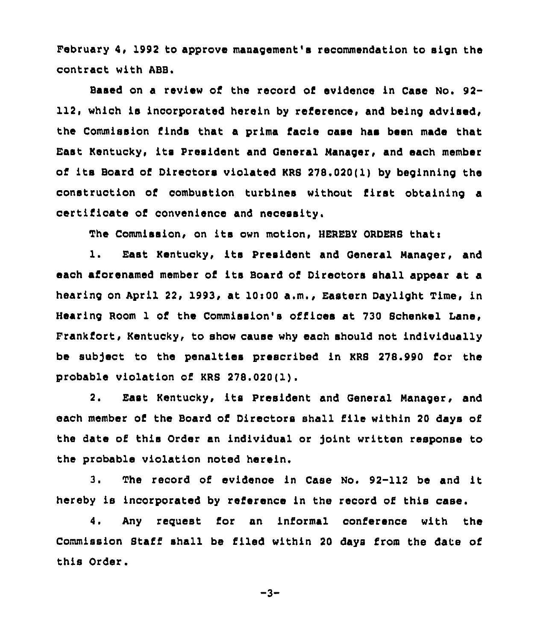February 4, 1992 to approve management's recommendation to sign the contract with ABB.

Based on a review of the record of evidence in Case No. 92-112, which is incorporated herein by reference, and being advised, the Commission finds that a prima faoie case has been made that East Kentuoky, its President and General Manager, and each member of its Board of Directors violated KRS 278.020(1) by beginning the construction of combustion turbines without first obtaining a certificate of convenience and necessity.

The Commission, on its own motion, HEREBY ORDERS that:

1. East Kentucky, ite President and General Manager, and each aforenamed member of its Board of Directors shall appear at a hearing on April 22, 1993, at 10:00 a.m., Eastern Daylight Time, in Hearing Room 1 of the Commission's offices at 730 Sohenkel Lane, Frankfort, Kentucky, to show cause why each should not individually be sub)ect to the penalties prescribed in KRS 278.990 for the probable violation of KRS 278.020(1).

2. East Kentucky, its President and General Manager, and each member of the Board of Directors shall file within <sup>20</sup> days of the date of this Order an individual or joint written response to the probable violation noted herein.

3. The record of evidence in Case No. 92-112 be and it hereby is incorporated by reference in the record of this case.

4. Any request for an informal conference with the Commission Staff shall be filed within 20 days from the date of this Order.

$$
-3-
$$